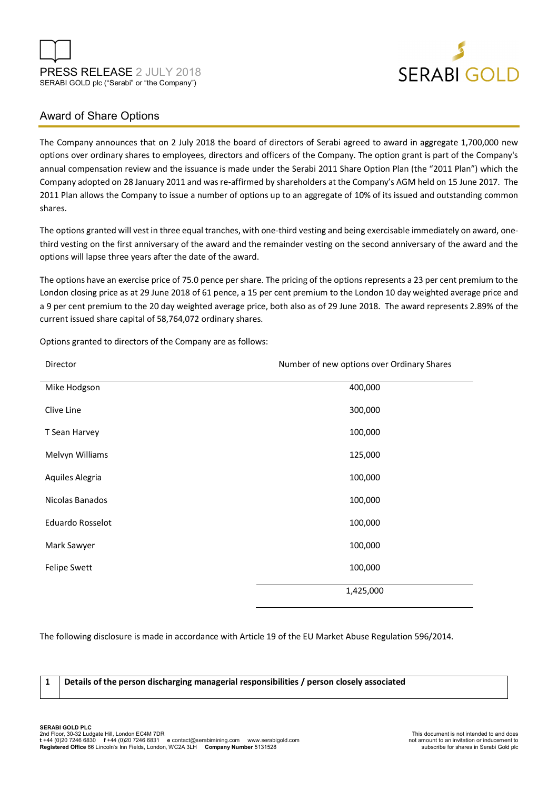



### Award of Share Options

The Company announces that on 2 July 2018 the board of directors of Serabi agreed to award in aggregate 1,700,000 new options over ordinary shares to employees, directors and officers of the Company. The option grant is part of the Company's annual compensation review and the issuance is made under the Serabi 2011 Share Option Plan (the "2011 Plan") which the Company adopted on 28 January 2011 and was re-affirmed by shareholders at the Company's AGM held on 15 June 2017. The 2011 Plan allows the Company to issue a number of options up to an aggregate of 10% of its issued and outstanding common shares.

The options granted will vest in three equal tranches, with one-third vesting and being exercisable immediately on award, onethird vesting on the first anniversary of the award and the remainder vesting on the second anniversary of the award and the options will lapse three years after the date of the award.

The options have an exercise price of 75.0 pence per share. The pricing of the options represents a 23 per cent premium to the London closing price as at 29 June 2018 of 61 pence, a 15 per cent premium to the London 10 day weighted average price and a 9 per cent premium to the 20 day weighted average price, both also as of 29 June 2018. The award represents 2.89% of the current issued share capital of 58,764,072 ordinary shares.

| Director                | Number of new options over Ordinary Shares |
|-------------------------|--------------------------------------------|
| Mike Hodgson            | 400,000                                    |
| Clive Line              | 300,000                                    |
| T Sean Harvey           | 100,000                                    |
| Melvyn Williams         | 125,000                                    |
| Aquiles Alegria         | 100,000                                    |
| Nicolas Banados         | 100,000                                    |
| <b>Eduardo Rosselot</b> | 100,000                                    |
| Mark Sawyer             | 100,000                                    |
| Felipe Swett            | 100,000                                    |
|                         | 1,425,000                                  |

Options granted to directors of the Company are as follows:

The following disclosure is made in accordance with Article 19 of the EU Market Abuse Regulation 596/2014.

**1 Details of the person discharging managerial responsibilities / person closely associated**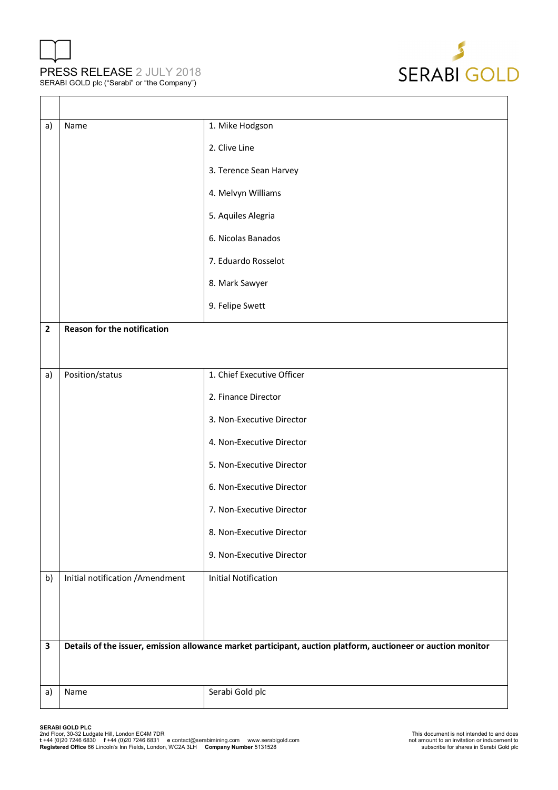# PRESS RELEASE 2 JULY 2018 SERABI GOLD plc ("Serabi" or "the Company")



| a)                      | Name                                                                                                          | 1. Mike Hodgson             |
|-------------------------|---------------------------------------------------------------------------------------------------------------|-----------------------------|
|                         |                                                                                                               | 2. Clive Line               |
|                         |                                                                                                               | 3. Terence Sean Harvey      |
|                         |                                                                                                               | 4. Melvyn Williams          |
|                         |                                                                                                               | 5. Aquiles Alegria          |
|                         |                                                                                                               | 6. Nicolas Banados          |
|                         |                                                                                                               | 7. Eduardo Rosselot         |
|                         |                                                                                                               | 8. Mark Sawyer              |
|                         |                                                                                                               | 9. Felipe Swett             |
| $\overline{\mathbf{2}}$ | Reason for the notification                                                                                   |                             |
|                         |                                                                                                               |                             |
| a)                      | Position/status                                                                                               | 1. Chief Executive Officer  |
|                         |                                                                                                               | 2. Finance Director         |
|                         |                                                                                                               | 3. Non-Executive Director   |
|                         |                                                                                                               | 4. Non-Executive Director   |
|                         |                                                                                                               | 5. Non-Executive Director   |
|                         |                                                                                                               | 6. Non-Executive Director   |
|                         |                                                                                                               | 7. Non-Executive Director   |
|                         |                                                                                                               | 8. Non-Executive Director   |
|                         |                                                                                                               | 9. Non-Executive Director   |
| b)                      | Initial notification / Amendment                                                                              | <b>Initial Notification</b> |
|                         |                                                                                                               |                             |
|                         |                                                                                                               |                             |
| $\mathbf{3}$            | Details of the issuer, emission allowance market participant, auction platform, auctioneer or auction monitor |                             |
|                         |                                                                                                               |                             |
| a)                      | Name                                                                                                          | Serabi Gold plc             |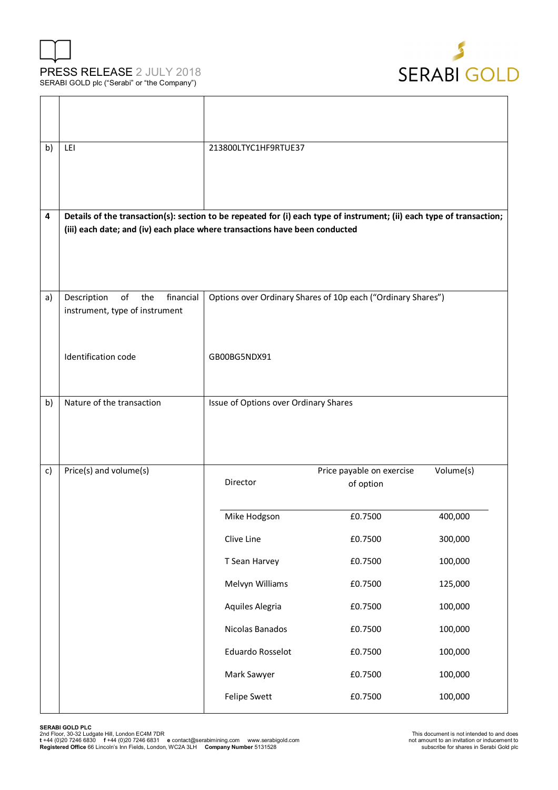





| b) | LEI                                                                                                                                                                                                  | 213800LTYC1HF9RTUE37                  |                                                              |           |
|----|------------------------------------------------------------------------------------------------------------------------------------------------------------------------------------------------------|---------------------------------------|--------------------------------------------------------------|-----------|
| 4  | Details of the transaction(s): section to be repeated for (i) each type of instrument; (ii) each type of transaction;<br>(iii) each date; and (iv) each place where transactions have been conducted |                                       |                                                              |           |
|    |                                                                                                                                                                                                      |                                       |                                                              |           |
| a) | Description<br>of<br>financial<br>the<br>instrument, type of instrument                                                                                                                              |                                       | Options over Ordinary Shares of 10p each ("Ordinary Shares") |           |
|    | <b>Identification code</b>                                                                                                                                                                           | GB00BG5NDX91                          |                                                              |           |
| b) | Nature of the transaction                                                                                                                                                                            | Issue of Options over Ordinary Shares |                                                              |           |
|    |                                                                                                                                                                                                      |                                       |                                                              |           |
| c) | Price(s) and volume(s)                                                                                                                                                                               | Director                              | Price payable on exercise<br>of option                       | Volume(s) |
|    |                                                                                                                                                                                                      | Mike Hodgson                          | £0.7500                                                      | 400,000   |
|    |                                                                                                                                                                                                      | Clive Line                            | £0.7500                                                      | 300,000   |
|    |                                                                                                                                                                                                      | T Sean Harvey                         | £0.7500                                                      | 100,000   |
|    |                                                                                                                                                                                                      | Melvyn Williams                       | £0.7500                                                      | 125,000   |
|    |                                                                                                                                                                                                      | Aquiles Alegria                       | £0.7500                                                      | 100,000   |
|    |                                                                                                                                                                                                      | Nicolas Banados                       | £0.7500                                                      | 100,000   |
|    |                                                                                                                                                                                                      | <b>Eduardo Rosselot</b>               | £0.7500                                                      | 100,000   |
|    |                                                                                                                                                                                                      | Mark Sawyer                           | £0.7500                                                      | 100,000   |
|    |                                                                                                                                                                                                      | Felipe Swett                          | £0.7500                                                      | 100,000   |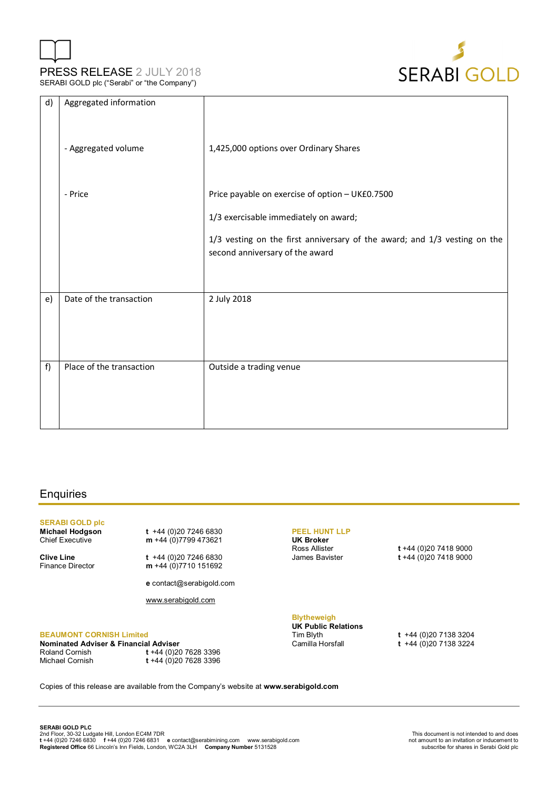



| d) | Aggregated information   |                                                                                                              |
|----|--------------------------|--------------------------------------------------------------------------------------------------------------|
|    | - Aggregated volume      | 1,425,000 options over Ordinary Shares                                                                       |
|    | - Price                  | Price payable on exercise of option - UK£0.7500                                                              |
|    |                          | 1/3 exercisable immediately on award;                                                                        |
|    |                          | 1/3 vesting on the first anniversary of the award; and 1/3 vesting on the<br>second anniversary of the award |
| e) | Date of the transaction  | 2 July 2018                                                                                                  |
| f) | Place of the transaction | Outside a trading venue                                                                                      |

#### **Enquiries**

## **SERABI GOLD plc**

**Michael Hodgson t** +44 (0)20 7246 6830<br>Chief Executive **m** +44 (0)7799 473621

**Clive Line** t +44 (0)20 7246 6830<br>Finance Director **m** +44 (0)7710 151692 m +44 (0)7710 151692

**e** contact@serabigold.com

www.serabigold.com

m +44 (0)7799 473621

#### **BEAUMONT CORNISH Limited**

**Nominated Adviser & Financial Adviser**<br>Roland Cornish t +44 (0)20 Roland Cornish **t** +44 (0)20 7628 3396 Michael Cornish **t** +44 (0)20 7628 3396

#### **PEEL HUNT LLP**

**UK Broker**

Ross Allister **t** +44 (0)20 7418 9000 James Bavister **t** +44 (0)20 7418 9000

#### **Blytheweigh**

**UK Public Relations** 

Tim Blyth **t** +44 (0)20 7138 3204 Camilla Horsfall **t** +44 (0)20 7138 3224

Copies of this release are available from the Company's website at **www.serabigold.com**